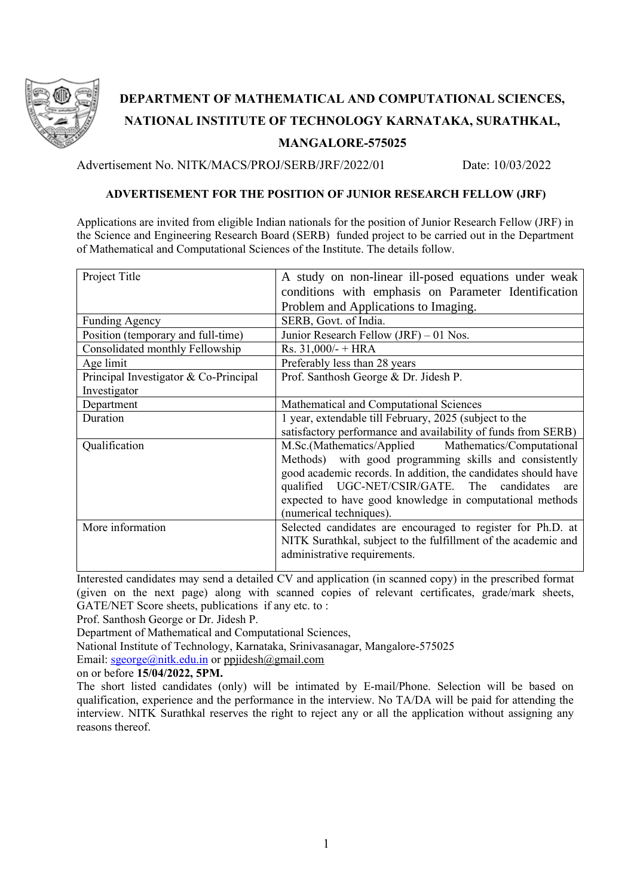

## **DEPARTMENT OF MATHEMATICAL AND COMPUTATIONAL SCIENCES, NATIONAL INSTITUTE OF TECHNOLOGY KARNATAKA, SURATHKAL, MANGALORE-575025**

Advertisement No. NITK/MACS/PROJ/SERB/JRF/2022/01 Date: 10/03/2022

## **ADVERTISEMENT FOR THE POSITION OF JUNIOR RESEARCH FELLOW (JRF)**

Applications are invited from eligible Indian nationals for the position of Junior Research Fellow (JRF) in the Science and Engineering Research Board (SERB) funded project to be carried out in the Department of Mathematical and Computational Sciences of the Institute. The details follow.

| Project Title                         | A study on non-linear ill-posed equations under weak           |  |  |  |  |  |
|---------------------------------------|----------------------------------------------------------------|--|--|--|--|--|
|                                       | conditions with emphasis on Parameter Identification           |  |  |  |  |  |
|                                       | Problem and Applications to Imaging.                           |  |  |  |  |  |
| <b>Funding Agency</b>                 | SERB, Govt. of India.                                          |  |  |  |  |  |
| Position (temporary and full-time)    | Junior Research Fellow (JRF) – 01 Nos.                         |  |  |  |  |  |
| Consolidated monthly Fellowship       | Rs. $31,000/- + HRA$                                           |  |  |  |  |  |
| Age limit                             | Preferably less than 28 years                                  |  |  |  |  |  |
| Principal Investigator & Co-Principal | Prof. Santhosh George & Dr. Jidesh P.                          |  |  |  |  |  |
| Investigator                          |                                                                |  |  |  |  |  |
| Department                            | Mathematical and Computational Sciences                        |  |  |  |  |  |
| Duration                              | 1 year, extendable till February, 2025 (subject to the         |  |  |  |  |  |
|                                       | satisfactory performance and availability of funds from SERB)  |  |  |  |  |  |
| Qualification                         | M.Sc.(Mathematics/Applied Mathematics/Computational            |  |  |  |  |  |
|                                       | Methods) with good programming skills and consistently         |  |  |  |  |  |
|                                       | good academic records. In addition, the candidates should have |  |  |  |  |  |
|                                       | qualified UGC-NET/CSIR/GATE. The candidates<br>are             |  |  |  |  |  |
|                                       | expected to have good knowledge in computational methods       |  |  |  |  |  |
|                                       | (numerical techniques).                                        |  |  |  |  |  |
| More information                      | Selected candidates are encouraged to register for Ph.D. at    |  |  |  |  |  |
|                                       | NITK Surathkal, subject to the fulfillment of the academic and |  |  |  |  |  |
|                                       | administrative requirements.                                   |  |  |  |  |  |
|                                       |                                                                |  |  |  |  |  |

Interested candidates may send a detailed CV and application (in scanned copy) in the prescribed format (given on the next page) along with scanned copies of relevant certificates, grade/mark sheets, GATE/NET Score sheets, publications if any etc. to :

Prof. Santhosh George or Dr. Jidesh P.

Department of Mathematical and Computational Sciences,

National Institute of Technology, Karnataka, Srinivasanagar, Mangalore-575025

Email:  $\text{george}(\text{Qnitt}, \text{edu.in or pipides} \text{h}(\text{Qgmail.com}))$ 

on or before **15/04/2022, 5PM.**

The short listed candidates (only) will be intimated by E-mail/Phone. Selection will be based on qualification, experience and the performance in the interview. No TA/DA will be paid for attending the interview. NITK Surathkal reserves the right to reject any or all the application without assigning any reasons thereof.